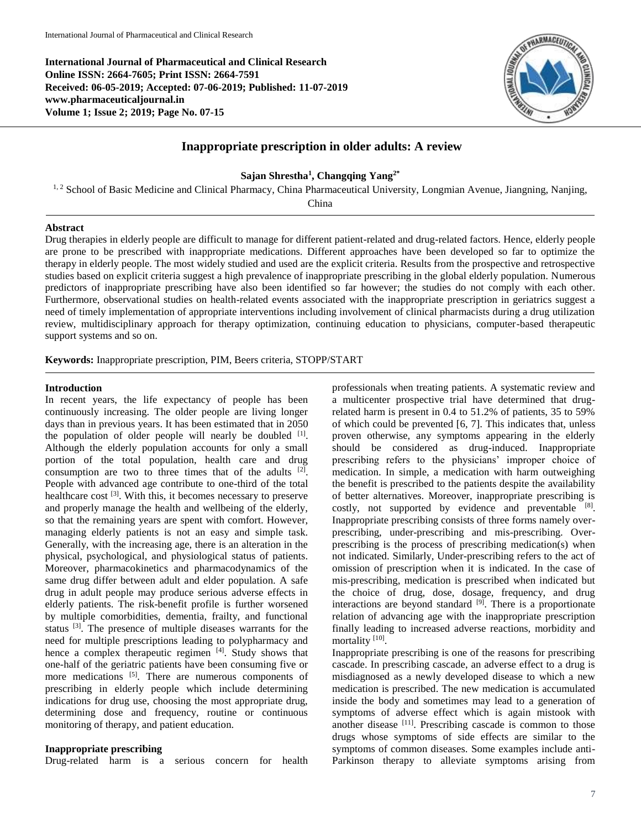**International Journal of Pharmaceutical and Clinical Research Online ISSN: 2664-7605; Print ISSN: 2664-7591 Received: 06-05-2019; Accepted: 07-06-2019; Published: 11-07-2019 www.pharmaceuticaljournal.in Volume 1; Issue 2; 2019; Page No. 07-15**



# **Inappropriate prescription in older adults: A review**

**Sajan Shrestha<sup>1</sup> , Changqing Yang2\***

<sup>1, 2</sup> School of Basic Medicine and Clinical Pharmacy, China Pharmaceutical University, Longmian Avenue, Jiangning, Nanjing,

China

### **Abstract**

Drug therapies in elderly people are difficult to manage for different patient-related and drug-related factors. Hence, elderly people are prone to be prescribed with inappropriate medications. Different approaches have been developed so far to optimize the therapy in elderly people. The most widely studied and used are the explicit criteria. Results from the prospective and retrospective studies based on explicit criteria suggest a high prevalence of inappropriate prescribing in the global elderly population. Numerous predictors of inappropriate prescribing have also been identified so far however; the studies do not comply with each other. Furthermore, observational studies on health-related events associated with the inappropriate prescription in geriatrics suggest a need of timely implementation of appropriate interventions including involvement of clinical pharmacists during a drug utilization review, multidisciplinary approach for therapy optimization, continuing education to physicians, computer-based therapeutic support systems and so on.

**Keywords:** Inappropriate prescription, PIM, Beers criteria, STOPP/START

### **Introduction**

In recent years, the life expectancy of people has been continuously increasing. The older people are living longer days than in previous years. It has been estimated that in 2050 the population of older people will nearly be doubled  $[1]$ . Although the elderly population accounts for only a small portion of the total population, health care and drug consumption are two to three times that of the adults  $[2]$ . People with advanced age contribute to one-third of the total healthcare cost <sup>[3]</sup>. With this, it becomes necessary to preserve and properly manage the health and wellbeing of the elderly, so that the remaining years are spent with comfort. However, managing elderly patients is not an easy and simple task. Generally, with the increasing age, there is an alteration in the physical, psychological, and physiological status of patients. Moreover, pharmacokinetics and pharmacodynamics of the same drug differ between adult and elder population. A safe drug in adult people may produce serious adverse effects in elderly patients. The risk-benefit profile is further worsened by multiple comorbidities, dementia, frailty, and functional status <sup>[3]</sup>. The presence of multiple diseases warrants for the need for multiple prescriptions leading to polypharmacy and hence a complex therapeutic regimen [4]. Study shows that one-half of the geriatric patients have been consuming five or more medications <sup>[5]</sup>. There are numerous components of prescribing in elderly people which include determining indications for drug use, choosing the most appropriate drug, determining dose and frequency, routine or continuous monitoring of therapy, and patient education.

## **Inappropriate prescribing**

Drug-related harm is a serious concern for health

professionals when treating patients. A systematic review and a multicenter prospective trial have determined that drugrelated harm is present in 0.4 to 51.2% of patients, 35 to 59% of which could be prevented [6, 7]. This indicates that, unless proven otherwise, any symptoms appearing in the elderly should be considered as drug-induced. Inappropriate prescribing refers to the physicians' improper choice of medication. In simple, a medication with harm outweighing the benefit is prescribed to the patients despite the availability of better alternatives. Moreover, inappropriate prescribing is costly, not supported by evidence and preventable [8]. Inappropriate prescribing consists of three forms namely overprescribing, under-prescribing and mis-prescribing. Overprescribing is the process of prescribing medication(s) when not indicated. Similarly, Under-prescribing refers to the act of omission of prescription when it is indicated. In the case of mis-prescribing, medication is prescribed when indicated but the choice of drug, dose, dosage, frequency, and drug interactions are beyond standard  $[9]$ . There is a proportionate relation of advancing age with the inappropriate prescription finally leading to increased adverse reactions, morbidity and mortality<sup>[10]</sup>.

Inappropriate prescribing is one of the reasons for prescribing cascade. In prescribing cascade, an adverse effect to a drug is misdiagnosed as a newly developed disease to which a new medication is prescribed. The new medication is accumulated inside the body and sometimes may lead to a generation of symptoms of adverse effect which is again mistook with another disease [11]. Prescribing cascade is common to those drugs whose symptoms of side effects are similar to the symptoms of common diseases. Some examples include anti-Parkinson therapy to alleviate symptoms arising from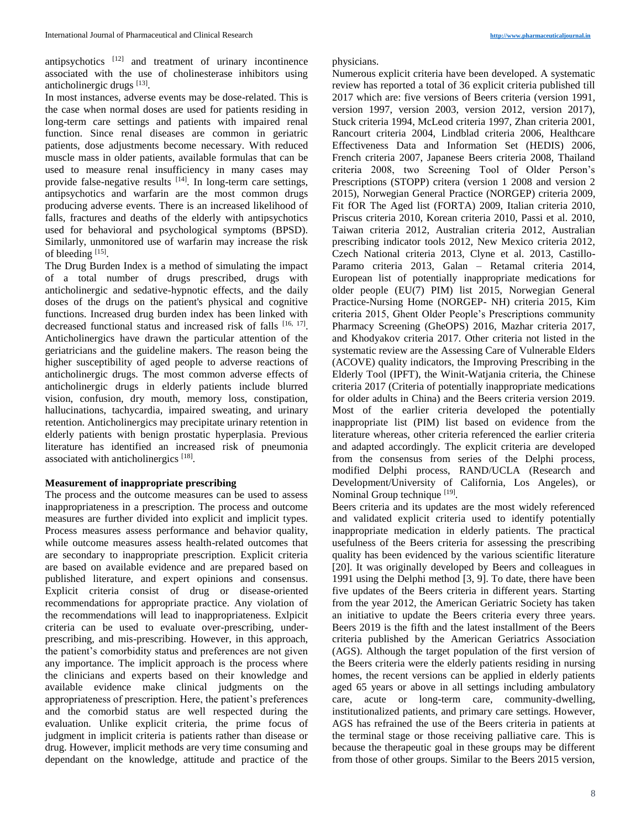antipsychotics [12] and treatment of urinary incontinence associated with the use of cholinesterase inhibitors using anticholinergic drugs [13].

In most instances, adverse events may be dose-related. This is the case when normal doses are used for patients residing in long-term care settings and patients with impaired renal function. Since renal diseases are common in geriatric patients, dose adjustments become necessary. With reduced muscle mass in older patients, available formulas that can be used to measure renal insufficiency in many cases may provide false-negative results <sup>[14]</sup>. In long-term care settings, antipsychotics and warfarin are the most common drugs producing adverse events. There is an increased likelihood of falls, fractures and deaths of the elderly with antipsychotics used for behavioral and psychological symptoms (BPSD). Similarly, unmonitored use of warfarin may increase the risk of bleeding [15].

The Drug Burden Index is a method of simulating the impact of a total number of drugs prescribed, drugs with anticholinergic and sedative-hypnotic effects, and the daily doses of the drugs on the patient's physical and cognitive functions. Increased drug burden index has been linked with decreased functional status and increased risk of falls [16, 17]. Anticholinergics have drawn the particular attention of the geriatricians and the guideline makers. The reason being the higher susceptibility of aged people to adverse reactions of anticholinergic drugs. The most common adverse effects of anticholinergic drugs in elderly patients include blurred vision, confusion, dry mouth, memory loss, constipation, hallucinations, tachycardia, impaired sweating, and urinary retention. Anticholinergics may precipitate urinary retention in elderly patients with benign prostatic hyperplasia. Previous literature has identified an increased risk of pneumonia associated with anticholinergics [18].

# **Measurement of inappropriate prescribing**

The process and the outcome measures can be used to assess inappropriateness in a prescription. The process and outcome measures are further divided into explicit and implicit types. Process measures assess performance and behavior quality, while outcome measures assess health-related outcomes that are secondary to inappropriate prescription. Explicit criteria are based on available evidence and are prepared based on published literature, and expert opinions and consensus. Explicit criteria consist of drug or disease-oriented recommendations for appropriate practice. Any violation of the recommendations will lead to inappropriateness. Exlpicit criteria can be used to evaluate over-prescribing, underprescribing, and mis-prescribing. However, in this approach, the patient's comorbidity status and preferences are not given any importance. The implicit approach is the process where the clinicians and experts based on their knowledge and available evidence make clinical judgments on the appropriateness of prescription. Here, the patient's preferences and the comorbid status are well respected during the evaluation. Unlike explicit criteria, the prime focus of judgment in implicit criteria is patients rather than disease or drug. However, implicit methods are very time consuming and dependant on the knowledge, attitude and practice of the

### physicians.

Numerous explicit criteria have been developed. A systematic review has reported a total of 36 explicit criteria published till 2017 which are: five versions of Beers criteria (version 1991, version 1997, version 2003, version 2012, version 2017), Stuck criteria 1994, McLeod criteria 1997, Zhan criteria 2001, Rancourt criteria 2004, Lindblad criteria 2006, Healthcare Effectiveness Data and Information Set (HEDIS) 2006, French criteria 2007, Japanese Beers criteria 2008, Thailand criteria 2008, two Screening Tool of Older Person's Prescriptions (STOPP) critera (version 1 2008 and version 2 2015), Norwegian General Practice (NORGEP) criteria 2009, Fit fOR The Aged list (FORTA) 2009, Italian criteria 2010, Priscus criteria 2010, Korean criteria 2010, Passi et al. 2010, Taiwan criteria 2012, Australian criteria 2012, Australian prescribing indicator tools 2012, New Mexico criteria 2012, Czech National criteria 2013, Clyne et al. 2013, Castillo-Paramo criteria 2013, Galan – Retamal criteria 2014, European list of potentially inappropriate medications for older people (EU(7) PIM) list 2015, Norwegian General Practice-Nursing Home (NORGEP- NH) criteria 2015, Kim criteria 2015, Ghent Older People's Prescriptions community Pharmacy Screening (GheOPS) 2016, Mazhar criteria 2017, and Khodyakov criteria 2017. Other criteria not listed in the systematic review are the Assessing Care of Vulnerable Elders (ACOVE) quality indicators, the Improving Prescribing in the Elderly Tool (IPFT), the Winit-Watjania criteria, the Chinese criteria 2017 (Criteria of potentially inappropriate medications for older adults in China) and the Beers criteria version 2019. Most of the earlier criteria developed the potentially inappropriate list (PIM) list based on evidence from the literature whereas, other criteria referenced the earlier criteria and adapted accordingly. The explicit criteria are developed from the consensus from series of the Delphi process, modified Delphi process, RAND/UCLA (Research and Development/University of California, Los Angeles), or Nominal Group technique [19].

Beers criteria and its updates are the most widely referenced and validated explicit criteria used to identify potentially inappropriate medication in elderly patients. The practical usefulness of the Beers criteria for assessing the prescribing quality has been evidenced by the various scientific literature [20]. It was originally developed by Beers and colleagues in 1991 using the Delphi method [3, 9]. To date, there have been five updates of the Beers criteria in different years. Starting from the year 2012, the American Geriatric Society has taken an initiative to update the Beers criteria every three years. Beers 2019 is the fifth and the latest installment of the Beers criteria published by the American Geriatrics Association (AGS). Although the target population of the first version of the Beers criteria were the elderly patients residing in nursing homes, the recent versions can be applied in elderly patients aged 65 years or above in all settings including ambulatory care, acute or long-term care, community-dwelling, institutionalized patients, and primary care settings. However, AGS has refrained the use of the Beers criteria in patients at the terminal stage or those receiving palliative care. This is because the therapeutic goal in these groups may be different from those of other groups. Similar to the Beers 2015 version,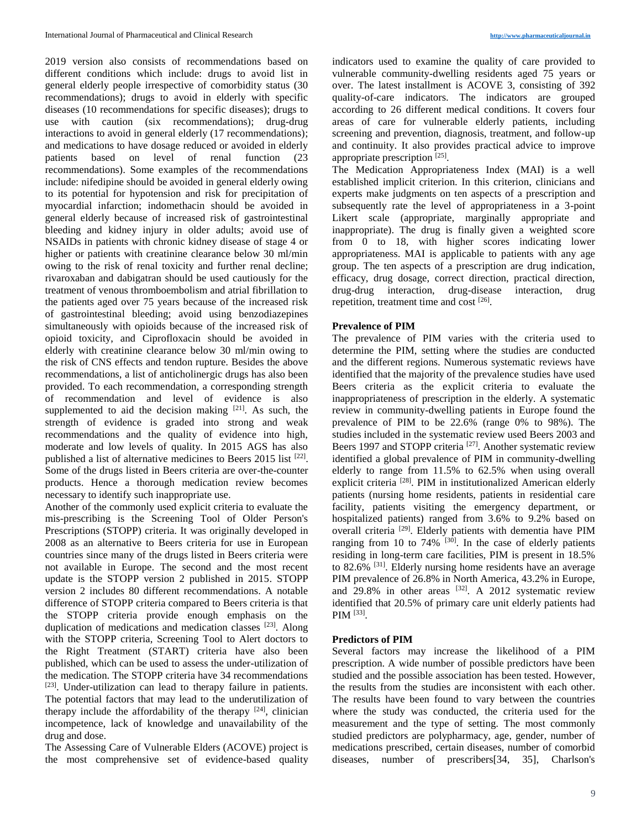2019 version also consists of recommendations based on different conditions which include: drugs to avoid list in general elderly people irrespective of comorbidity status (30 recommendations); drugs to avoid in elderly with specific diseases (10 recommendations for specific diseases); drugs to use with caution (six recommendations); drug-drug interactions to avoid in general elderly (17 recommendations); and medications to have dosage reduced or avoided in elderly patients based on level of renal function (23 recommendations). Some examples of the recommendations include: nifedipine should be avoided in general elderly owing to its potential for hypotension and risk for precipitation of myocardial infarction; indomethacin should be avoided in general elderly because of increased risk of gastrointestinal bleeding and kidney injury in older adults; avoid use of NSAIDs in patients with chronic kidney disease of stage 4 or higher or patients with creatinine clearance below 30 ml/min owing to the risk of renal toxicity and further renal decline; rivaroxaban and dabigatran should be used cautiously for the treatment of venous thromboembolism and atrial fibrillation to the patients aged over 75 years because of the increased risk of gastrointestinal bleeding; avoid using benzodiazepines simultaneously with opioids because of the increased risk of opioid toxicity, and Ciprofloxacin should be avoided in elderly with creatinine clearance below 30 ml/min owing to the risk of CNS effects and tendon rupture. Besides the above recommendations, a list of anticholinergic drugs has also been provided. To each recommendation, a corresponding strength of recommendation and level of evidence is also supplemented to aid the decision making  $[21]$ . As such, the strength of evidence is graded into strong and weak recommendations and the quality of evidence into high, moderate and low levels of quality. In 2015 AGS has also published a list of alternative medicines to Beers 2015 list [22]. Some of the drugs listed in Beers criteria are over-the-counter products. Hence a thorough medication review becomes necessary to identify such inappropriate use.

Another of the commonly used explicit criteria to evaluate the mis-prescribing is the Screening Tool of Older Person's Prescriptions (STOPP) criteria. It was originally developed in 2008 as an alternative to Beers criteria for use in European countries since many of the drugs listed in Beers criteria were not available in Europe. The second and the most recent update is the STOPP version 2 published in 2015. STOPP version 2 includes 80 different recommendations. A notable difference of STOPP criteria compared to Beers criteria is that the STOPP criteria provide enough emphasis on the duplication of medications and medication classes [23]. Along with the STOPP criteria, Screening Tool to Alert doctors to the Right Treatment (START) criteria have also been published, which can be used to assess the under-utilization of the medication. The STOPP criteria have 34 recommendations [23]. Under-utilization can lead to therapy failure in patients. The potential factors that may lead to the underutilization of therapy include the affordability of the therapy  $[24]$ , clinician incompetence, lack of knowledge and unavailability of the drug and dose.

The Assessing Care of Vulnerable Elders (ACOVE) project is the most comprehensive set of evidence-based quality indicators used to examine the quality of care provided to vulnerable community-dwelling residents aged 75 years or over. The latest installment is ACOVE 3, consisting of 392 quality-of-care indicators. The indicators are grouped according to 26 different medical conditions. It covers four areas of care for vulnerable elderly patients, including screening and prevention, diagnosis, treatment, and follow-up and continuity. It also provides practical advice to improve appropriate prescription<sup>[25]</sup>.

The Medication Appropriateness Index (MAI) is a well established implicit criterion. In this criterion, clinicians and experts make judgments on ten aspects of a prescription and subsequently rate the level of appropriateness in a 3-point Likert scale (appropriate, marginally appropriate and inappropriate). The drug is finally given a weighted score from 0 to 18, with higher scores indicating lower appropriateness. MAI is applicable to patients with any age group. The ten aspects of a prescription are drug indication, efficacy, drug dosage, correct direction, practical direction, drug-drug interaction, drug-disease interaction, drug repetition, treatment time and cost [26].

## **Prevalence of PIM**

The prevalence of PIM varies with the criteria used to determine the PIM, setting where the studies are conducted and the different regions. Numerous systematic reviews have identified that the majority of the prevalence studies have used Beers criteria as the explicit criteria to evaluate the inappropriateness of prescription in the elderly. A systematic review in community-dwelling patients in Europe found the prevalence of PIM to be 22.6% (range 0% to 98%). The studies included in the systematic review used Beers 2003 and Beers 1997 and STOPP criteria<sup>[27]</sup>. Another systematic review identified a global prevalence of PIM in community-dwelling elderly to range from 11.5% to 62.5% when using overall explicit criteria<sup>[28]</sup>. PIM in institutionalized American elderly patients (nursing home residents, patients in residential care facility, patients visiting the emergency department, or hospitalized patients) ranged from 3.6% to 9.2% based on overall criteria <a>[29]</a>. Elderly patients with dementia have PIM ranging from 10 to 74%  $[30]$ . In the case of elderly patients residing in long-term care facilities, PIM is present in 18.5% to 82.6% [31]. Elderly nursing home residents have an average PIM prevalence of 26.8% in North America, 43.2% in Europe, and  $29.8\%$  in other areas  $^{[32]}$ . A 2012 systematic review identified that 20.5% of primary care unit elderly patients had PIM<sup>[33]</sup>.

# **Predictors of PIM**

Several factors may increase the likelihood of a PIM prescription. A wide number of possible predictors have been studied and the possible association has been tested. However, the results from the studies are inconsistent with each other. The results have been found to vary between the countries where the study was conducted, the criteria used for the measurement and the type of setting. The most commonly studied predictors are polypharmacy, age, gender, number of medications prescribed, certain diseases, number of comorbid diseases, number of prescribers[34, 35], Charlson's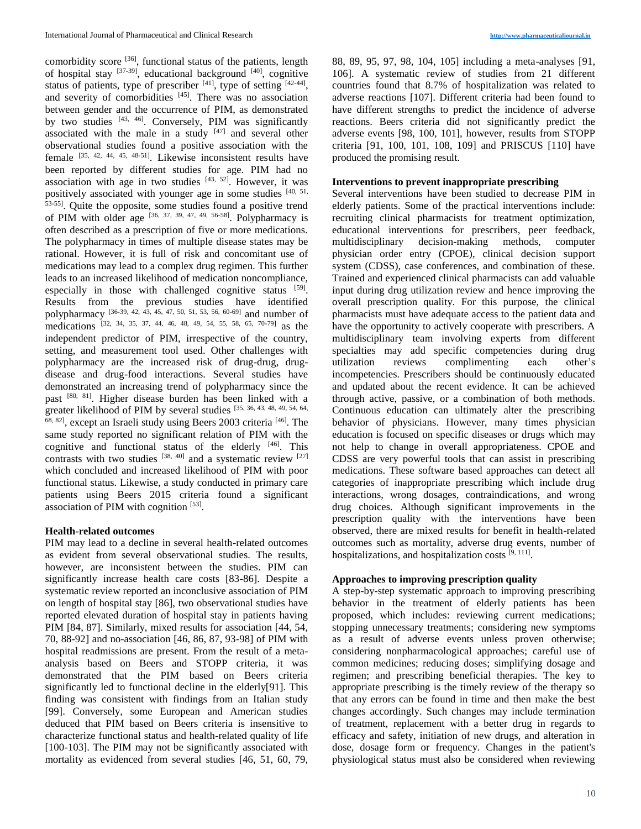comorbidity score [36], functional status of the patients, length of hospital stay [37-39], educational background [40], cognitive status of patients, type of prescriber  $[41]$ , type of setting  $[42-44]$ , and severity of comorbidities [45]. There was no association between gender and the occurrence of PIM, as demonstrated by two studies [43, 46]. Conversely, PIM was significantly associated with the male in a study  $[47]$  and several other observational studies found a positive association with the female [35, 42, 44, 45, 48-51]. Likewise inconsistent results have been reported by different studies for age. PIM had no association with age in two studies  $[43, 52]$ . However, it was positively associated with younger age in some studies [40, 51, 53-55]. Quite the opposite, some studies found a positive trend of PIM with older age  $[36, 37, 39, 47, 49, 56-58]$ . Polypharmacy is often described as a prescription of five or more medications. The polypharmacy in times of multiple disease states may be rational. However, it is full of risk and concomitant use of medications may lead to a complex drug regimen. This further leads to an increased likelihood of medication noncompliance, especially in those with challenged cognitive status [59]. Results from the previous studies have identified polypharmacy [36-39, 42, 43, 45, 47, 50, 51, 53, 56, 60-69] and number of medications [32, 34, 35, 37, 44, 46, 48, 49, 54, 55, 58, 65, 70-79] as the independent predictor of PIM, irrespective of the country, setting, and measurement tool used. Other challenges with polypharmacy are the increased risk of drug-drug, drugdisease and drug-food interactions. Several studies have demonstrated an increasing trend of polypharmacy since the past [80, 81]. Higher disease burden has been linked with a greater likelihood of PIM by several studies [35, 36, 43, 48, 49, 54, 64, 68, 82], except an Israeli study using Beers 2003 criteria [46]. The same study reported no significant relation of PIM with the cognitive and functional status of the elderly [46]. This contrasts with two studies  $[38, 40]$  and a systematic review  $[27]$ which concluded and increased likelihood of PIM with poor functional status. Likewise, a study conducted in primary care patients using Beers 2015 criteria found a significant association of PIM with cognition [53].

## **Health-related outcomes**

PIM may lead to a decline in several health-related outcomes as evident from several observational studies. The results, however, are inconsistent between the studies. PIM can significantly increase health care costs [83-86]. Despite a systematic review reported an inconclusive association of PIM on length of hospital stay [86], two observational studies have reported elevated duration of hospital stay in patients having PIM [84, 87]. Similarly, mixed results for association [44, 54, 70, 88-92] and no-association [46, 86, 87, 93-98] of PIM with hospital readmissions are present. From the result of a metaanalysis based on Beers and STOPP criteria, it was demonstrated that the PIM based on Beers criteria significantly led to functional decline in the elderly[91]. This finding was consistent with findings from an Italian study [99]. Conversely, some European and American studies deduced that PIM based on Beers criteria is insensitive to characterize functional status and health-related quality of life [100-103]. The PIM may not be significantly associated with mortality as evidenced from several studies [46, 51, 60, 79,

88, 89, 95, 97, 98, 104, 105] including a meta-analyses [91, 106]. A systematic review of studies from 21 different countries found that 8.7% of hospitalization was related to adverse reactions [107]. Different criteria had been found to have different strengths to predict the incidence of adverse reactions. Beers criteria did not significantly predict the adverse events [98, 100, 101], however, results from STOPP criteria [91, 100, 101, 108, 109] and PRISCUS [110] have produced the promising result.

### **Interventions to prevent inappropriate prescribing**

Several interventions have been studied to decrease PIM in elderly patients. Some of the practical interventions include: recruiting clinical pharmacists for treatment optimization, educational interventions for prescribers, peer feedback, multidisciplinary decision-making methods, computer physician order entry (CPOE), clinical decision support system (CDSS), case conferences, and combination of these. Trained and experienced clinical pharmacists can add valuable input during drug utilization review and hence improving the overall prescription quality. For this purpose, the clinical pharmacists must have adequate access to the patient data and have the opportunity to actively cooperate with prescribers. A multidisciplinary team involving experts from different specialties may add specific competencies during drug utilization reviews complimenting each other's incompetencies. Prescribers should be continuously educated and updated about the recent evidence. It can be achieved through active, passive, or a combination of both methods. Continuous education can ultimately alter the prescribing behavior of physicians. However, many times physician education is focused on specific diseases or drugs which may not help to change in overall appropriateness. CPOE and CDSS are very powerful tools that can assist in prescribing medications. These software based approaches can detect all categories of inappropriate prescribing which include drug interactions, wrong dosages, contraindications, and wrong drug choices. Although significant improvements in the prescription quality with the interventions have been observed, there are mixed results for benefit in health-related outcomes such as mortality, adverse drug events, number of hospitalizations, and hospitalization costs [9, 111].

#### **Approaches to improving prescription quality**

A step-by-step systematic approach to improving prescribing behavior in the treatment of elderly patients has been proposed, which includes: reviewing current medications; stopping unnecessary treatments; considering new symptoms as a result of adverse events unless proven otherwise; considering nonpharmacological approaches; careful use of common medicines; reducing doses; simplifying dosage and regimen; and prescribing beneficial therapies. The key to appropriate prescribing is the timely review of the therapy so that any errors can be found in time and then make the best changes accordingly. Such changes may include termination of treatment, replacement with a better drug in regards to efficacy and safety, initiation of new drugs, and alteration in dose, dosage form or frequency. Changes in the patient's physiological status must also be considered when reviewing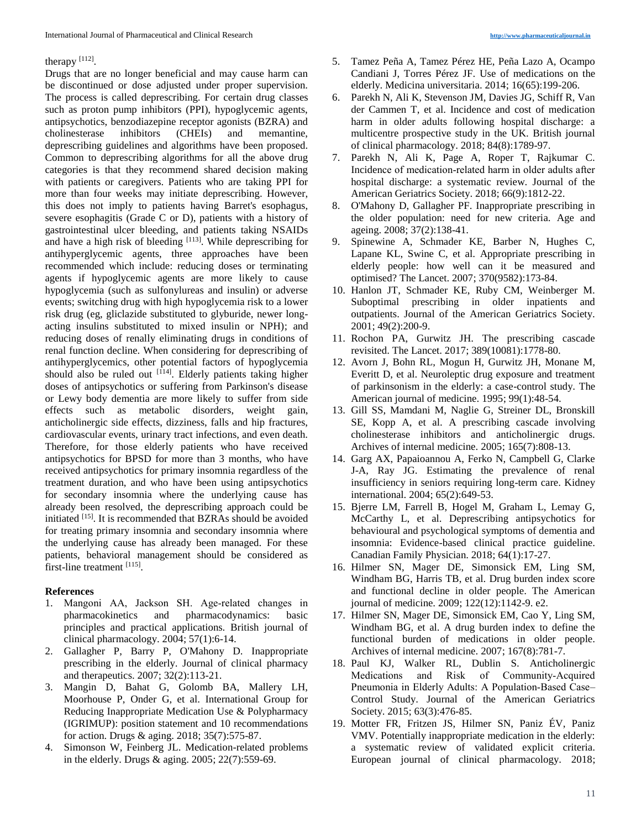### therapy  $[112]$ .

Drugs that are no longer beneficial and may cause harm can be discontinued or dose adjusted under proper supervision. The process is called deprescribing. For certain drug classes such as proton pump inhibitors (PPI), hypoglycemic agents, antipsychotics, benzodiazepine receptor agonists (BZRA) and cholinesterase inhibitors (CHEIs) and memantine, deprescribing guidelines and algorithms have been proposed. Common to deprescribing algorithms for all the above drug categories is that they recommend shared decision making with patients or caregivers. Patients who are taking PPI for more than four weeks may initiate deprescribing. However, this does not imply to patients having Barret's esophagus, severe esophagitis (Grade C or D), patients with a history of gastrointestinal ulcer bleeding, and patients taking NSAIDs and have a high risk of bleeding [113]. While deprescribing for antihyperglycemic agents, three approaches have been recommended which include: reducing doses or terminating agents if hypoglycemic agents are more likely to cause hypoglycemia (such as sulfonylureas and insulin) or adverse events; switching drug with high hypoglycemia risk to a lower risk drug (eg, gliclazide substituted to glyburide, newer longacting insulins substituted to mixed insulin or NPH); and reducing doses of renally eliminating drugs in conditions of renal function decline. When considering for deprescribing of antihyperglycemics, other potential factors of hypoglycemia should also be ruled out [114]. Elderly patients taking higher doses of antipsychotics or suffering from Parkinson's disease or Lewy body dementia are more likely to suffer from side effects such as metabolic disorders, weight gain, anticholinergic side effects, dizziness, falls and hip fractures, cardiovascular events, urinary tract infections, and even death. Therefore, for those elderly patients who have received antipsychotics for BPSD for more than 3 months, who have received antipsychotics for primary insomnia regardless of the treatment duration, and who have been using antipsychotics for secondary insomnia where the underlying cause has already been resolved, the deprescribing approach could be initiated [15]. It is recommended that BZRAs should be avoided for treating primary insomnia and secondary insomnia where the underlying cause has already been managed. For these patients, behavioral management should be considered as first-line treatment [115].

## **References**

- 1. Mangoni AA, Jackson SH. Age-related changes in pharmacokinetics and pharmacodynamics: basic principles and practical applications. British journal of clinical pharmacology. 2004; 57(1):6-14.
- 2. Gallagher P, Barry P, O'Mahony D. Inappropriate prescribing in the elderly. Journal of clinical pharmacy and therapeutics. 2007; 32(2):113-21.
- 3. Mangin D, Bahat G, Golomb BA, Mallery LH, Moorhouse P, Onder G, et al. International Group for Reducing Inappropriate Medication Use & Polypharmacy (IGRIMUP): position statement and 10 recommendations for action. Drugs & aging. 2018; 35(7):575-87.
- 4. Simonson W, Feinberg JL. Medication-related problems in the elderly. Drugs & aging. 2005; 22(7):559-69.
- 5. Tamez Peña A, Tamez Pérez HE, Peña Lazo A, Ocampo Candiani J, Torres Pérez JF. Use of medications on the elderly. Medicina universitaria. 2014; 16(65):199-206.
- 6. Parekh N, Ali K, Stevenson JM, Davies JG, Schiff R, Van der Cammen T, et al. Incidence and cost of medication harm in older adults following hospital discharge: a multicentre prospective study in the UK. British journal of clinical pharmacology. 2018; 84(8):1789-97.
- 7. Parekh N, Ali K, Page A, Roper T, Rajkumar C. Incidence of medication‐related harm in older adults after hospital discharge: a systematic review. Journal of the American Geriatrics Society. 2018; 66(9):1812-22.
- 8. O'Mahony D, Gallagher PF. Inappropriate prescribing in the older population: need for new criteria. Age and ageing. 2008; 37(2):138-41.
- 9. Spinewine A, Schmader KE, Barber N, Hughes C, Lapane KL, Swine C, et al. Appropriate prescribing in elderly people: how well can it be measured and optimised? The Lancet. 2007; 370(9582):173-84.
- 10. Hanlon JT, Schmader KE, Ruby CM, Weinberger M. Suboptimal prescribing in older inpatients and outpatients. Journal of the American Geriatrics Society. 2001; 49(2):200-9.
- 11. Rochon PA, Gurwitz JH. The prescribing cascade revisited. The Lancet. 2017; 389(10081):1778-80.
- 12. Avorn J, Bohn RL, Mogun H, Gurwitz JH, Monane M, Everitt D, et al. Neuroleptic drug exposure and treatment of parkinsonism in the elderly: a case-control study. The American journal of medicine. 1995; 99(1):48-54.
- 13. Gill SS, Mamdani M, Naglie G, Streiner DL, Bronskill SE, Kopp A, et al. A prescribing cascade involving cholinesterase inhibitors and anticholinergic drugs. Archives of internal medicine. 2005; 165(7):808-13.
- 14. Garg AX, Papaioannou A, Ferko N, Campbell G, Clarke J-A, Ray JG. Estimating the prevalence of renal insufficiency in seniors requiring long-term care. Kidney international. 2004; 65(2):649-53.
- 15. Bjerre LM, Farrell B, Hogel M, Graham L, Lemay G, McCarthy L, et al. Deprescribing antipsychotics for behavioural and psychological symptoms of dementia and insomnia: Evidence-based clinical practice guideline. Canadian Family Physician. 2018; 64(1):17-27.
- 16. Hilmer SN, Mager DE, Simonsick EM, Ling SM, Windham BG, Harris TB, et al. Drug burden index score and functional decline in older people. The American journal of medicine. 2009; 122(12):1142-9. e2.
- 17. Hilmer SN, Mager DE, Simonsick EM, Cao Y, Ling SM, Windham BG, et al. A drug burden index to define the functional burden of medications in older people. Archives of internal medicine. 2007; 167(8):781-7.
- 18. Paul KJ, Walker RL, Dublin S. Anticholinergic Medications and Risk of Community‐Acquired Pneumonia in Elderly Adults: A Population‐Based Case– Control Study. Journal of the American Geriatrics Society. 2015; 63(3):476-85.
- 19. Motter FR, Fritzen JS, Hilmer SN, Paniz ÉV, Paniz VMV. Potentially inappropriate medication in the elderly: a systematic review of validated explicit criteria. European journal of clinical pharmacology. 2018;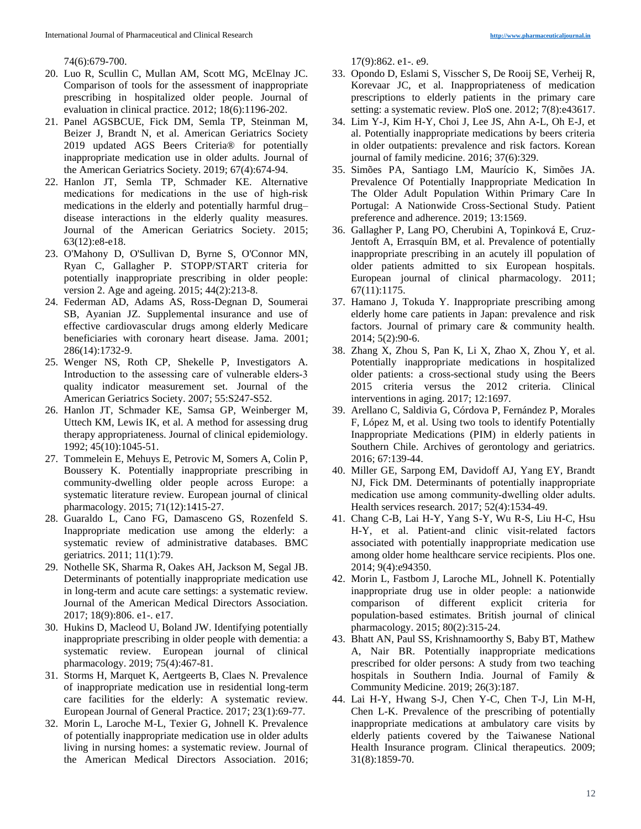#### 74(6):679-700.

- 20. Luo R, Scullin C, Mullan AM, Scott MG, McElnay JC. Comparison of tools for the assessment of inappropriate prescribing in hospitalized older people. Journal of evaluation in clinical practice. 2012; 18(6):1196-202.
- 21. Panel AGSBCUE, Fick DM, Semla TP, Steinman M, Beizer J, Brandt N, et al. American Geriatrics Society 2019 updated AGS Beers Criteria® for potentially inappropriate medication use in older adults. Journal of the American Geriatrics Society. 2019; 67(4):674-94.
- 22. Hanlon JT, Semla TP, Schmader KE. Alternative medications for medications in the use of high‐risk medications in the elderly and potentially harmful drug– disease interactions in the elderly quality measures. Journal of the American Geriatrics Society. 2015; 63(12):e8-e18.
- 23. O'Mahony D, O'Sullivan D, Byrne S, O'Connor MN, Ryan C, Gallagher P. STOPP/START criteria for potentially inappropriate prescribing in older people: version 2. Age and ageing. 2015; 44(2):213-8.
- 24. Federman AD, Adams AS, Ross-Degnan D, Soumerai SB, Ayanian JZ. Supplemental insurance and use of effective cardiovascular drugs among elderly Medicare beneficiaries with coronary heart disease. Jama. 2001; 286(14):1732-9.
- 25. Wenger NS, Roth CP, Shekelle P, Investigators A. Introduction to the assessing care of vulnerable elders‐3 quality indicator measurement set. Journal of the American Geriatrics Society. 2007; 55:S247-S52.
- 26. Hanlon JT, Schmader KE, Samsa GP, Weinberger M, Uttech KM, Lewis IK, et al. A method for assessing drug therapy appropriateness. Journal of clinical epidemiology. 1992; 45(10):1045-51.
- 27. Tommelein E, Mehuys E, Petrovic M, Somers A, Colin P, Boussery K. Potentially inappropriate prescribing in community-dwelling older people across Europe: a systematic literature review. European journal of clinical pharmacology. 2015; 71(12):1415-27.
- 28. Guaraldo L, Cano FG, Damasceno GS, Rozenfeld S. Inappropriate medication use among the elderly: a systematic review of administrative databases. BMC geriatrics. 2011; 11(1):79.
- 29. Nothelle SK, Sharma R, Oakes AH, Jackson M, Segal JB. Determinants of potentially inappropriate medication use in long-term and acute care settings: a systematic review. Journal of the American Medical Directors Association. 2017; 18(9):806. e1-. e17.
- 30. Hukins D, Macleod U, Boland JW. Identifying potentially inappropriate prescribing in older people with dementia: a systematic review. European journal of clinical pharmacology. 2019; 75(4):467-81.
- 31. Storms H, Marquet K, Aertgeerts B, Claes N. Prevalence of inappropriate medication use in residential long-term care facilities for the elderly: A systematic review. European Journal of General Practice. 2017; 23(1):69-77.
- 32. Morin L, Laroche M-L, Texier G, Johnell K. Prevalence of potentially inappropriate medication use in older adults living in nursing homes: a systematic review. Journal of the American Medical Directors Association. 2016;

17(9):862. e1-. e9.

- 33. Opondo D, Eslami S, Visscher S, De Rooij SE, Verheij R, Korevaar JC, et al. Inappropriateness of medication prescriptions to elderly patients in the primary care setting: a systematic review. PloS one. 2012; 7(8):e43617.
- 34. Lim Y-J, Kim H-Y, Choi J, Lee JS, Ahn A-L, Oh E-J, et al. Potentially inappropriate medications by beers criteria in older outpatients: prevalence and risk factors. Korean journal of family medicine. 2016; 37(6):329.
- 35. Simões PA, Santiago LM, Maurício K, Simões JA. Prevalence Of Potentially Inappropriate Medication In The Older Adult Population Within Primary Care In Portugal: A Nationwide Cross-Sectional Study. Patient preference and adherence. 2019; 13:1569.
- 36. Gallagher P, Lang PO, Cherubini A, Topinková E, Cruz-Jentoft A, Errasquín BM, et al. Prevalence of potentially inappropriate prescribing in an acutely ill population of older patients admitted to six European hospitals. European journal of clinical pharmacology. 2011; 67(11):1175.
- 37. Hamano J, Tokuda Y. Inappropriate prescribing among elderly home care patients in Japan: prevalence and risk factors. Journal of primary care & community health. 2014; 5(2):90-6.
- 38. Zhang X, Zhou S, Pan K, Li X, Zhao X, Zhou Y, et al. Potentially inappropriate medications in hospitalized older patients: a cross-sectional study using the Beers 2015 criteria versus the 2012 criteria. Clinical interventions in aging. 2017; 12:1697.
- 39. Arellano C, Saldivia G, Córdova P, Fernández P, Morales F, López M, et al. Using two tools to identify Potentially Inappropriate Medications (PIM) in elderly patients in Southern Chile. Archives of gerontology and geriatrics. 2016; 67:139-44.
- 40. Miller GE, Sarpong EM, Davidoff AJ, Yang EY, Brandt NJ, Fick DM. Determinants of potentially inappropriate medication use among community‐dwelling older adults. Health services research. 2017; 52(4):1534-49.
- 41. Chang C-B, Lai H-Y, Yang S-Y, Wu R-S, Liu H-C, Hsu H-Y, et al. Patient-and clinic visit-related factors associated with potentially inappropriate medication use among older home healthcare service recipients. Plos one. 2014; 9(4):e94350.
- 42. Morin L, Fastbom J, Laroche ML, Johnell K. Potentially inappropriate drug use in older people: a nationwide comparison of different explicit criteria for population‐based estimates. British journal of clinical pharmacology. 2015; 80(2):315-24.
- 43. Bhatt AN, Paul SS, Krishnamoorthy S, Baby BT, Mathew A, Nair BR. Potentially inappropriate medications prescribed for older persons: A study from two teaching hospitals in Southern India. Journal of Family & Community Medicine. 2019; 26(3):187.
- 44. Lai H-Y, Hwang S-J, Chen Y-C, Chen T-J, Lin M-H, Chen L-K. Prevalence of the prescribing of potentially inappropriate medications at ambulatory care visits by elderly patients covered by the Taiwanese National Health Insurance program. Clinical therapeutics. 2009; 31(8):1859-70.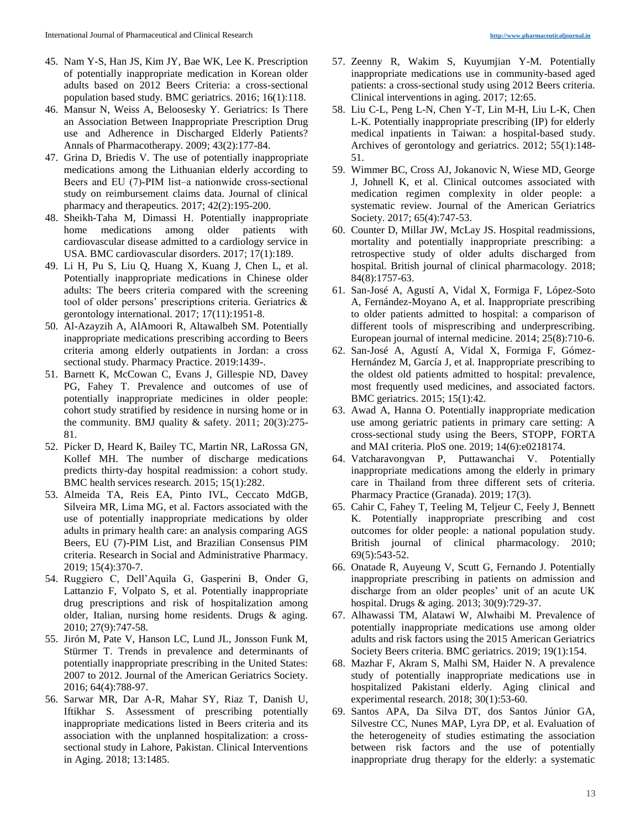- 45. Nam Y-S, Han JS, Kim JY, Bae WK, Lee K. Prescription of potentially inappropriate medication in Korean older adults based on 2012 Beers Criteria: a cross-sectional population based study. BMC geriatrics. 2016; 16(1):118.
- 46. Mansur N, Weiss A, Beloosesky Y. Geriatrics: Is There an Association Between Inappropriate Prescription Drug use and Adherence in Discharged Elderly Patients? Annals of Pharmacotherapy. 2009; 43(2):177-84.
- 47. Grina D, Briedis V. The use of potentially inappropriate medications among the Lithuanian elderly according to Beers and EU (7)-PIM list–a nationwide cross-sectional study on reimbursement claims data. Journal of clinical pharmacy and therapeutics. 2017; 42(2):195-200.
- 48. Sheikh-Taha M, Dimassi H. Potentially inappropriate home medications among older patients with cardiovascular disease admitted to a cardiology service in USA. BMC cardiovascular disorders. 2017; 17(1):189.
- 49. Li H, Pu S, Liu Q, Huang X, Kuang J, Chen L, et al. Potentially inappropriate medications in Chinese older adults: The beers criteria compared with the screening tool of older persons' prescriptions criteria. Geriatrics & gerontology international. 2017; 17(11):1951-8.
- 50. Al-Azayzih A, AlAmoori R, Altawalbeh SM. Potentially inappropriate medications prescribing according to Beers criteria among elderly outpatients in Jordan: a cross sectional study. Pharmacy Practice. 2019:1439-.
- 51. Barnett K, McCowan C, Evans J, Gillespie ND, Davey PG, Fahey T. Prevalence and outcomes of use of potentially inappropriate medicines in older people: cohort study stratified by residence in nursing home or in the community. BMJ quality  $\&$  safety. 2011; 20(3):275-81.
- 52. Picker D, Heard K, Bailey TC, Martin NR, LaRossa GN, Kollef MH. The number of discharge medications predicts thirty-day hospital readmission: a cohort study. BMC health services research. 2015; 15(1):282.
- 53. Almeida TA, Reis EA, Pinto IVL, Ceccato MdGB, Silveira MR, Lima MG, et al. Factors associated with the use of potentially inappropriate medications by older adults in primary health care: an analysis comparing AGS Beers, EU (7)-PIM List, and Brazilian Consensus PIM criteria. Research in Social and Administrative Pharmacy. 2019; 15(4):370-7.
- 54. Ruggiero C, Dell'Aquila G, Gasperini B, Onder G, Lattanzio F, Volpato S, et al. Potentially inappropriate drug prescriptions and risk of hospitalization among older, Italian, nursing home residents. Drugs & aging. 2010; 27(9):747-58.
- 55. Jirón M, Pate V, Hanson LC, Lund JL, Jonsson Funk M, Stürmer T. Trends in prevalence and determinants of potentially inappropriate prescribing in the United States: 2007 to 2012. Journal of the American Geriatrics Society. 2016; 64(4):788-97.
- 56. Sarwar MR, Dar A-R, Mahar SY, Riaz T, Danish U, Iftikhar S. Assessment of prescribing potentially inappropriate medications listed in Beers criteria and its association with the unplanned hospitalization: a crosssectional study in Lahore, Pakistan. Clinical Interventions in Aging. 2018; 13:1485.
- 57. Zeenny R, Wakim S, Kuyumjian Y-M. Potentially inappropriate medications use in community-based aged patients: a cross-sectional study using 2012 Beers criteria. Clinical interventions in aging. 2017; 12:65.
- 58. Liu C-L, Peng L-N, Chen Y-T, Lin M-H, Liu L-K, Chen L-K. Potentially inappropriate prescribing (IP) for elderly medical inpatients in Taiwan: a hospital-based study. Archives of gerontology and geriatrics. 2012; 55(1):148- 51.
- 59. Wimmer BC, Cross AJ, Jokanovic N, Wiese MD, George J, Johnell K, et al. Clinical outcomes associated with medication regimen complexity in older people: a systematic review. Journal of the American Geriatrics Society. 2017; 65(4):747-53.
- 60. Counter D, Millar JW, McLay JS. Hospital readmissions, mortality and potentially inappropriate prescribing: a retrospective study of older adults discharged from hospital. British journal of clinical pharmacology. 2018; 84(8):1757-63.
- 61. San-José A, Agustí A, Vidal X, Formiga F, López-Soto A, Fernández-Moyano A, et al. Inappropriate prescribing to older patients admitted to hospital: a comparison of different tools of misprescribing and underprescribing. European journal of internal medicine. 2014; 25(8):710-6.
- 62. San-José A, Agustí A, Vidal X, Formiga F, Gómez-Hernández M, García J, et al. Inappropriate prescribing to the oldest old patients admitted to hospital: prevalence, most frequently used medicines, and associated factors. BMC geriatrics. 2015; 15(1):42.
- 63. Awad A, Hanna O. Potentially inappropriate medication use among geriatric patients in primary care setting: A cross-sectional study using the Beers, STOPP, FORTA and MAI criteria. PloS one. 2019; 14(6):e0218174.
- 64. Vatcharavongvan P, Puttawanchai V. Potentially inappropriate medications among the elderly in primary care in Thailand from three different sets of criteria. Pharmacy Practice (Granada). 2019; 17(3).
- 65. Cahir C, Fahey T, Teeling M, Teljeur C, Feely J, Bennett K. Potentially inappropriate prescribing and cost outcomes for older people: a national population study. British journal of clinical pharmacology. 2010; 69(5):543-52.
- 66. Onatade R, Auyeung V, Scutt G, Fernando J. Potentially inappropriate prescribing in patients on admission and discharge from an older peoples' unit of an acute UK hospital. Drugs & aging. 2013; 30(9):729-37.
- 67. Alhawassi TM, Alatawi W, Alwhaibi M. Prevalence of potentially inappropriate medications use among older adults and risk factors using the 2015 American Geriatrics Society Beers criteria. BMC geriatrics. 2019; 19(1):154.
- 68. Mazhar F, Akram S, Malhi SM, Haider N. A prevalence study of potentially inappropriate medications use in hospitalized Pakistani elderly. Aging clinical and experimental research. 2018; 30(1):53-60.
- 69. Santos APA, Da Silva DT, dos Santos Júnior GA, Silvestre CC, Nunes MAP, Lyra DP, et al. Evaluation of the heterogeneity of studies estimating the association between risk factors and the use of potentially inappropriate drug therapy for the elderly: a systematic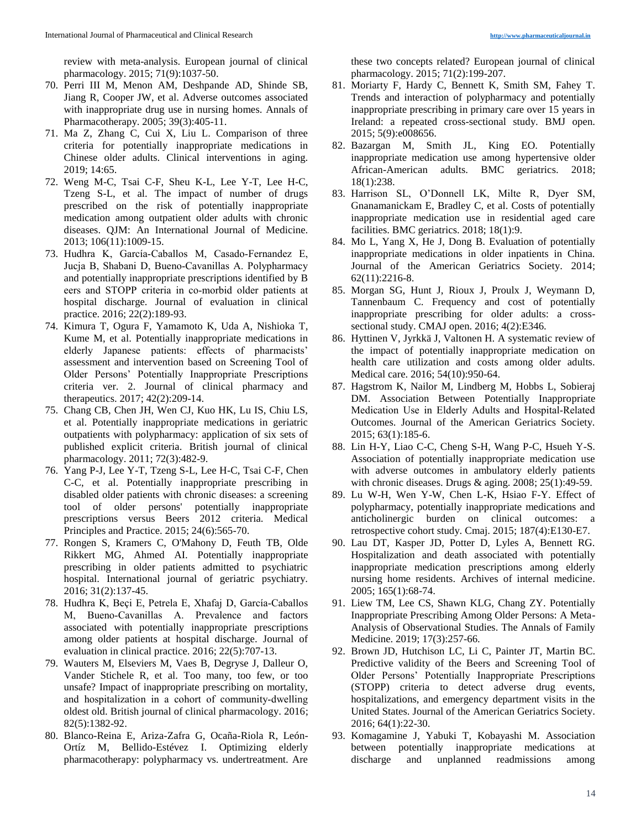review with meta-analysis. European journal of clinical pharmacology. 2015; 71(9):1037-50.

- 70. Perri III M, Menon AM, Deshpande AD, Shinde SB, Jiang R, Cooper JW, et al. Adverse outcomes associated with inappropriate drug use in nursing homes. Annals of Pharmacotherapy. 2005; 39(3):405-11.
- 71. Ma Z, Zhang C, Cui X, Liu L. Comparison of three criteria for potentially inappropriate medications in Chinese older adults. Clinical interventions in aging. 2019; 14:65.
- 72. Weng M-C, Tsai C-F, Sheu K-L, Lee Y-T, Lee H-C, Tzeng S-L, et al. The impact of number of drugs prescribed on the risk of potentially inappropriate medication among outpatient older adults with chronic diseases. QJM: An International Journal of Medicine. 2013; 106(11):1009-15.
- 73. Hudhra K, García‐Caballos M, Casado‐Fernandez E, Jucja B, Shabani D, Bueno‐Cavanillas A. Polypharmacy and potentially inappropriate prescriptions identified by B eers and STOPP criteria in co-morbid older patients at hospital discharge. Journal of evaluation in clinical practice. 2016; 22(2):189-93.
- 74. Kimura T, Ogura F, Yamamoto K, Uda A, Nishioka T, Kume M, et al. Potentially inappropriate medications in elderly Japanese patients: effects of pharmacists' assessment and intervention based on Screening Tool of Older Persons' Potentially Inappropriate Prescriptions criteria ver. 2. Journal of clinical pharmacy and therapeutics. 2017; 42(2):209-14.
- 75. Chang CB, Chen JH, Wen CJ, Kuo HK, Lu IS, Chiu LS, et al. Potentially inappropriate medications in geriatric outpatients with polypharmacy: application of six sets of published explicit criteria. British journal of clinical pharmacology. 2011; 72(3):482-9.
- 76. Yang P-J, Lee Y-T, Tzeng S-L, Lee H-C, Tsai C-F, Chen C-C, et al. Potentially inappropriate prescribing in disabled older patients with chronic diseases: a screening tool of older persons' potentially inappropriate prescriptions versus Beers 2012 criteria. Medical Principles and Practice. 2015; 24(6):565-70.
- 77. Rongen S, Kramers C, O'Mahony D, Feuth TB, Olde Rikkert MG, Ahmed AI. Potentially inappropriate prescribing in older patients admitted to psychiatric hospital. International journal of geriatric psychiatry. 2016; 31(2):137-45.
- 78. Hudhra K, Beçi E, Petrela E, Xhafaj D, García‐Caballos M, Bueno‐Cavanillas A. Prevalence and factors associated with potentially inappropriate prescriptions among older patients at hospital discharge. Journal of evaluation in clinical practice. 2016; 22(5):707-13.
- 79. Wauters M, Elseviers M, Vaes B, Degryse J, Dalleur O, Vander Stichele R, et al. Too many, too few, or too unsafe? Impact of inappropriate prescribing on mortality, and hospitalization in a cohort of community‐dwelling oldest old. British journal of clinical pharmacology. 2016; 82(5):1382-92.
- 80. Blanco-Reina E, Ariza-Zafra G, Ocaña-Riola R, León-Ortíz M, Bellido-Estévez I. Optimizing elderly pharmacotherapy: polypharmacy vs. undertreatment. Are

these two concepts related? European journal of clinical pharmacology. 2015; 71(2):199-207.

- 81. Moriarty F, Hardy C, Bennett K, Smith SM, Fahey T. Trends and interaction of polypharmacy and potentially inappropriate prescribing in primary care over 15 years in Ireland: a repeated cross-sectional study. BMJ open. 2015; 5(9):e008656.
- 82. Bazargan M, Smith JL, King EO. Potentially inappropriate medication use among hypertensive older African-American adults. BMC geriatrics. 2018; 18(1):238.
- 83. Harrison SL, O'Donnell LK, Milte R, Dyer SM, Gnanamanickam E, Bradley C, et al. Costs of potentially inappropriate medication use in residential aged care facilities. BMC geriatrics. 2018; 18(1):9.
- 84. Mo L, Yang X, He J, Dong B. Evaluation of potentially inappropriate medications in older inpatients in China. Journal of the American Geriatrics Society. 2014; 62(11):2216-8.
- 85. Morgan SG, Hunt J, Rioux J, Proulx J, Weymann D, Tannenbaum C. Frequency and cost of potentially inappropriate prescribing for older adults: a crosssectional study. CMAJ open. 2016; 4(2):E346.
- 86. Hyttinen V, Jyrkkä J, Valtonen H. A systematic review of the impact of potentially inappropriate medication on health care utilization and costs among older adults. Medical care. 2016; 54(10):950-64.
- 87. Hagstrom K, Nailor M, Lindberg M, Hobbs L, Sobieraj DM. Association Between Potentially Inappropriate Medication Use in Elderly Adults and Hospital‐Related Outcomes. Journal of the American Geriatrics Society. 2015; 63(1):185-6.
- 88. Lin H-Y, Liao C-C, Cheng S-H, Wang P-C, Hsueh Y-S. Association of potentially inappropriate medication use with adverse outcomes in ambulatory elderly patients with chronic diseases. Drugs & aging. 2008; 25(1):49-59.
- 89. Lu W-H, Wen Y-W, Chen L-K, Hsiao F-Y. Effect of polypharmacy, potentially inappropriate medications and anticholinergic burden on clinical outcomes: a retrospective cohort study. Cmaj. 2015; 187(4):E130-E7.
- 90. Lau DT, Kasper JD, Potter D, Lyles A, Bennett RG. Hospitalization and death associated with potentially inappropriate medication prescriptions among elderly nursing home residents. Archives of internal medicine. 2005; 165(1):68-74.
- 91. Liew TM, Lee CS, Shawn KLG, Chang ZY. Potentially Inappropriate Prescribing Among Older Persons: A Meta-Analysis of Observational Studies. The Annals of Family Medicine. 2019; 17(3):257-66.
- 92. Brown JD, Hutchison LC, Li C, Painter JT, Martin BC. Predictive validity of the Beers and Screening Tool of Older Persons' Potentially Inappropriate Prescriptions (STOPP) criteria to detect adverse drug events, hospitalizations, and emergency department visits in the United States. Journal of the American Geriatrics Society. 2016; 64(1):22-30.
- 93. Komagamine J, Yabuki T, Kobayashi M. Association between potentially inappropriate medications at discharge and unplanned readmissions among